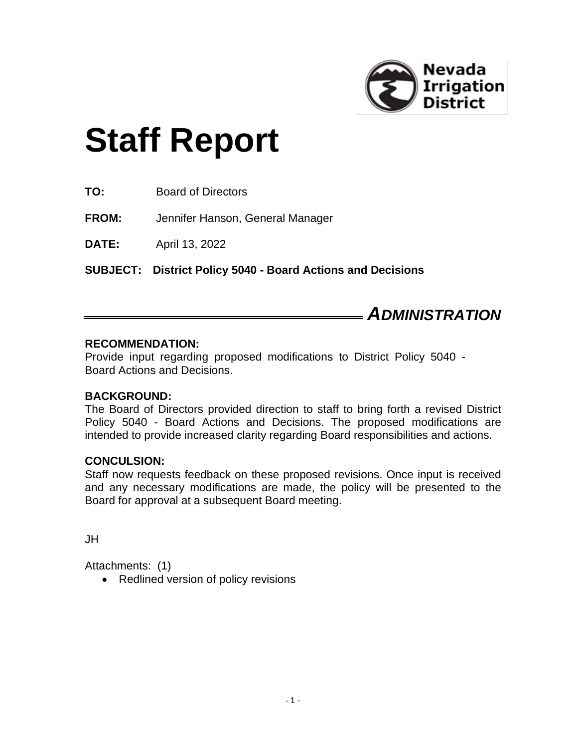

# **Staff Report**

**TO:** Board of Directors

**FROM:** Jennifer Hanson, General Manager

**DATE:** April 13, 2022

**SUBJECT: District Policy 5040 - Board Actions and Decisions**

## *ADMINISTRATION*

#### **RECOMMENDATION:**

Provide input regarding proposed modifications to District Policy 5040 - Board Actions and Decisions.

#### **BACKGROUND:**

The Board of Directors provided direction to staff to bring forth a revised District Policy 5040 - Board Actions and Decisions. The proposed modifications are intended to provide increased clarity regarding Board responsibilities and actions.

#### **CONCULSION:**

Staff now requests feedback on these proposed revisions. Once input is received and any necessary modifications are made, the policy will be presented to the Board for approval at a subsequent Board meeting.

JH

Attachments: (1)

• Redlined version of policy revisions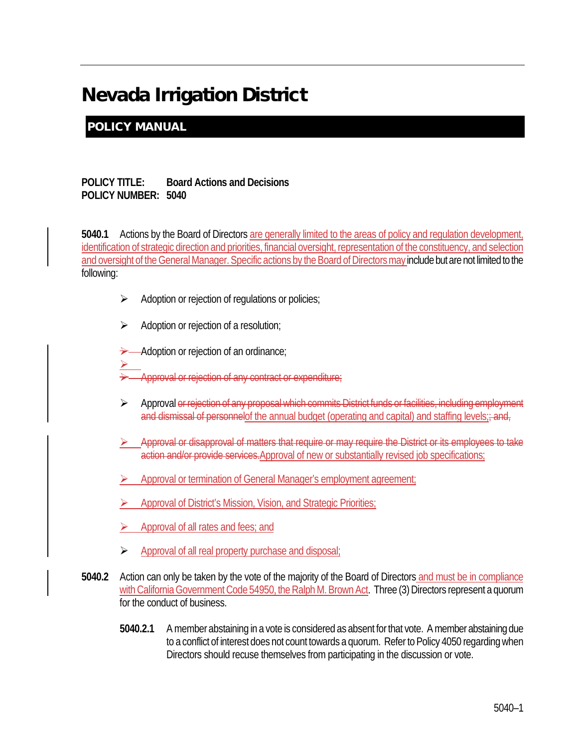# Nevada Irrigation District

### POLICY MANUAL

#### **POLICY TITLE: Board Actions and Decisions POLICY NUMBER: 5040**

**5040.1** Actions by the Board of Directors are generally limited to the areas of policy and regulation development, identification of strategic direction and priorities, financial oversight, representation of the constituency, and selection and oversight of the General Manager. Specific actions by the Board of Directors may include but are not limited to the following:

- $\triangleright$  Adoption or rejection of regulations or policies;
- $\triangleright$  Adoption or rejection of a resolution;

Adoption or rejection of an ordinance;

- $\geq$ Approval or rejection of any contract or expenditure;
- Approval or rejection of any proposal which commits District funds or facilities, including employment and dismissal of personnelof the annual budget (operating and capital) and staffing levels; and,
- Approval or disapproval of matters that require or may require the District or its employees to take action and/or provide services. Approval of new or substantially revised job specifications;
- Approval or termination of General Manager's employment agreement;
- Approval of District's Mission, Vision, and Strategic Priorities;
- Approval of all rates and fees; and
- Approval of all real property purchase and disposal;
- **5040.2** Action can only be taken by the vote of the majority of the Board of Directors and must be in compliance with California Government Code 54950, the Ralph M. Brown Act. Three (3) Directors represent a quorum for the conduct of business.
	- **5040.2.1** A member abstaining in a vote is considered as absent for that vote. A member abstaining due to a conflict of interest does not count towards a quorum. Refer to Policy 4050 regarding when Directors should recuse themselves from participating in the discussion or vote.